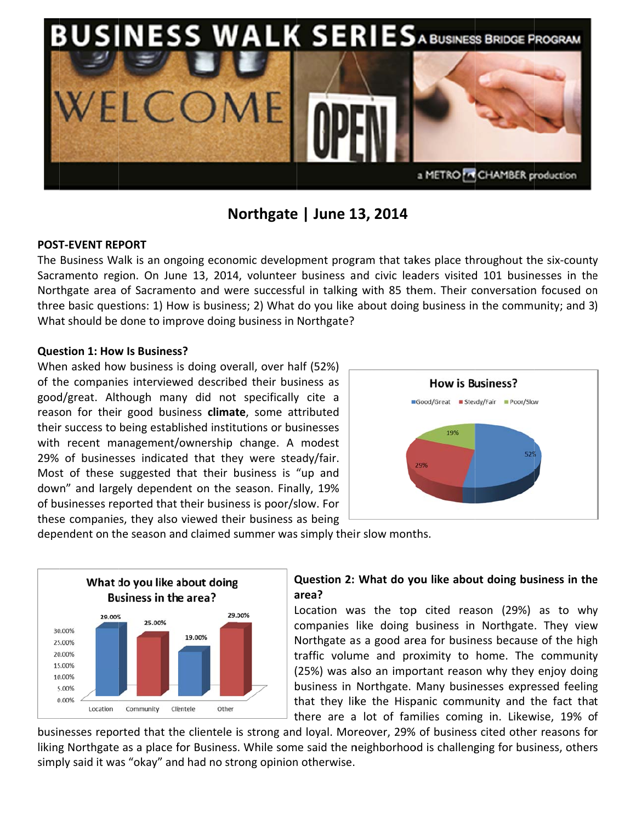

# Northgate | June 13, 2014

## **POST-FVFNT RFPORT**

The Business Walk is an ongoing economic development program that takes place throughout the six-county Sacramento region. On June 13, 2014, volunteer business and civic leaders visited 101 businesses in the Northgate area of Sacramento and were successful in talking with 85 them. Their conversation focused on three basic questions: 1) How is business; 2) What do you like about doing business in the community; and 3) What should be done to improve doing business in Northgate?

### **Question 1: How Is Business?**

When asked how business is doing overall, over half (52%) of the companies interviewed described their business as good/great. Although many did not specifically cite a reason for their good business **climate**, some attributed their success to being established institutions or businesses with recent management/ownership change. A modest 29% of businesses indicated that they were steady/fair. Most of these suggested that their business is "up and down" and largely dependent on the season. Finally, 19% of businesses reported that their business is poor/slow. For these companies, they also viewed their business as being



dependent on the season and claimed summer was simply their slow months.



# Question 2: What do you like about doing business in the area?

Location was the top cited reason (29%) as to why companies like doing business in Northgate. They view Northgate as a good area for business because of the high traffic volume and proximity to home. The community (25%) was also an important reason why they enjoy doing business in Northgate. Many businesses expressed feeling that they like the Hispanic community and the fact that there are a lot of families coming in. Likewise, 19% of

businesses reported that the clientele is strong and loyal. Moreover, 29% of business cited other reasons for liking Northgate as a place for Business. While some said the neighborhood is challenging for business, others simply said it was "okay" and had no strong opinion otherwise.